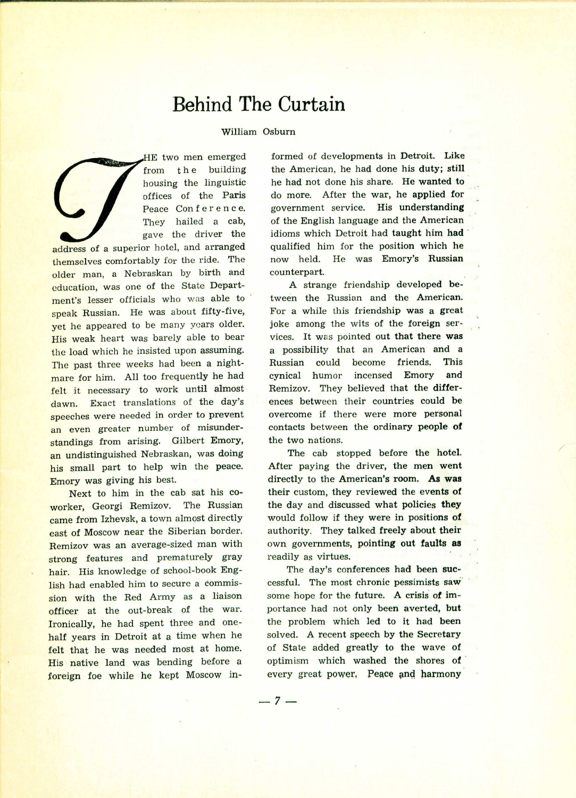## **Behind The Curtain**

## William Osburn

HE two men emerged from the building housing the linguistic offices of the Paris Peace Conference. They hailed a cab, gave the driver the

address of a superior hotel, and arranged themselves comfortably for the ride. The older man, a Nebraskan by birth and education, was one of the State Department's lesser officials who was able to speak Russian. He was about fifty-five, yet he appeared to be many years older. His weak heart was barely able to bear the load which he insisted upon assuming. The past three weeks had been a nightmare for him. All too frequently he had felt it necessary to work until almost dawn. Exact translations of the day's speeches were needed in order to prevent an even greater number of misunderstandings from arising. Gilbert Emory, an undistinguished Nebraskan, was doing his small part to help win the peace. Emory was giving his best.

Next to him in the cab sat his coworker, Georgi Remizov. The Russian came from Izhevsk, a town almost directly east of Moscow near the Siberian border. Remizov was an average-sized man with strong features and prematurely gray hair. His knowledge of school-book English had enabled him to secure a commission with the Red Army as a liaison officer at the out-break of the war. Ironically, he had spent three and onehalf years in Detroit at a time when he felt that he was needed most at home. His native land was bending before a foreign foe while he kept Moscow in-

formed of developments in Detroit. Like the American, he had done his duty; still he had not done his share. He wanted to do more. After the war, he applied for government service. His understanding of the English language and the American idioms which Detroit had taught him had qualified him for the position which he now held. He was Emory's Russian counterpart.

A strange friendship developed between the Russian and the American. For a while this friendship was a great joke among the wits of the foreign services. It was pointed out that there was a possibility that an American and a Russian could become friends. This cynical humor incensed Emory and Remizov. They believed that the differences between their countries could be overcome if there were more personal contacts between the ordinary people of the two nations.

The cab stopped before the hotel. After paying the driver, the men went directly to the American's room. As was their custom, they reviewed the events of the day and discussed what policies they would follow if they were in positions of authority. They talked freely about their own governments, pointing out faults **as** readily as virtues.

The day's conferences had been successful. The most chronic pessimists saw some hope for the future. A crisis of importance had not only been averted, but the problem which led to it had been solved. A recent speech by the Secretary of State added greatly to the wave of optimism which washed the shores of every great power. Peace and harmony

 $-7-$